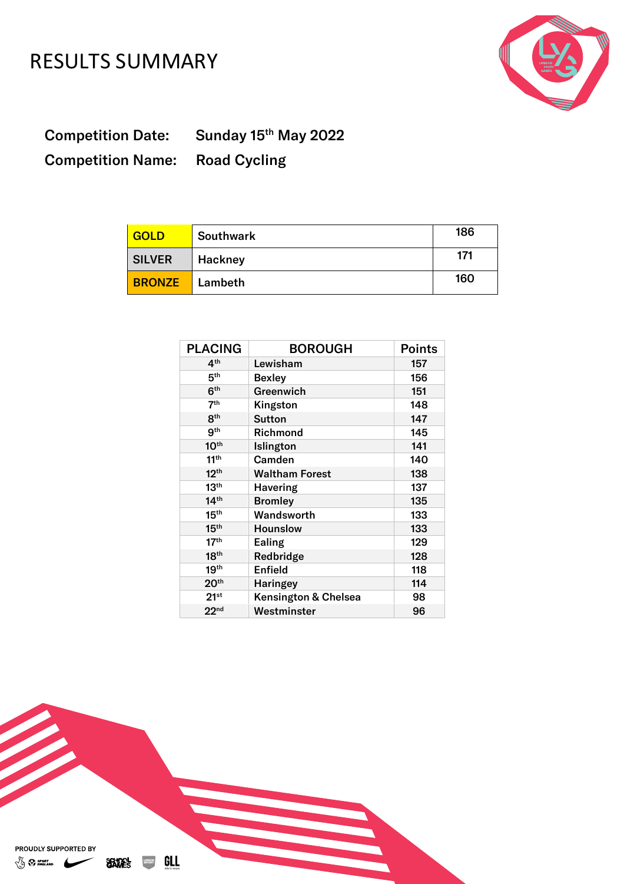## RESULTS SUMMARY



**Competition Date:** Competition Name: Road Cycling

Sunday 15<sup>th</sup> May 2022

| <b>GOLD</b>   | <b>Southwark</b> | 186 |
|---------------|------------------|-----|
| <b>SILVER</b> | Hackney          | 171 |
| <b>BRONZE</b> | Lambeth          | 160 |

| <b>PLACING</b>   | <b>BOROUGH</b>        | <b>Points</b> |
|------------------|-----------------------|---------------|
| 4 <sup>th</sup>  | Lewisham              | 157           |
| 5 <sup>th</sup>  | <b>Bexley</b>         | 156           |
| 6 <sup>th</sup>  | Greenwich             | 151           |
| 7 <sup>th</sup>  | Kingston              | 148           |
| 8 <sup>th</sup>  | <b>Sutton</b>         | 147           |
| 9 <sup>th</sup>  | Richmond              | 145           |
| 10 <sup>th</sup> | Islington             | 141           |
| 11 <sup>th</sup> | Camden                | 140           |
| 12 <sup>th</sup> | <b>Waltham Forest</b> | 138           |
| 13 <sup>th</sup> | <b>Havering</b>       | 137           |
| 14 <sup>th</sup> | <b>Bromley</b>        | 135           |
| 15 <sup>th</sup> | Wandsworth            | 133           |
| 15 <sup>th</sup> | <b>Hounslow</b>       | 133           |
| 17 <sup>th</sup> | Ealing                | 129           |
| 18 <sup>th</sup> | Redbridge             | 128           |
| 19 <sup>th</sup> | <b>Enfield</b>        | 118           |
| 20 <sup>th</sup> | <b>Haringey</b>       | 114           |
| $21^{st}$        | Kensington & Chelsea  | 98            |
| 22 <sub>nd</sub> | Westminster           | 96            |

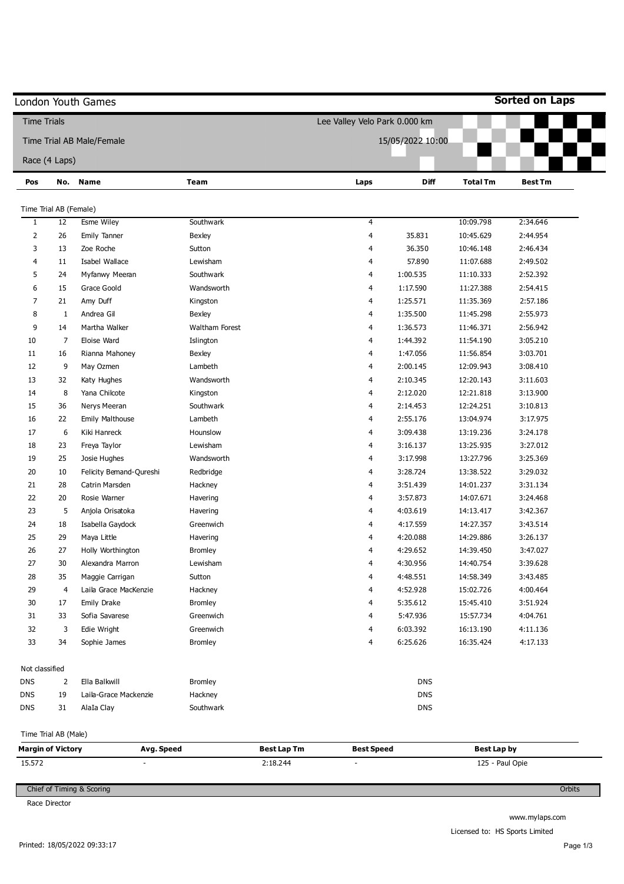| <b>Time Trials</b>       |                           |                         |                | Lee Valley Velo Park 0.000 km           |                  |                 |                |
|--------------------------|---------------------------|-------------------------|----------------|-----------------------------------------|------------------|-----------------|----------------|
|                          | Time Trial AB Male/Female |                         |                |                                         | 15/05/2022 10:00 |                 |                |
|                          | Race (4 Laps)             |                         |                |                                         |                  |                 |                |
| Pos                      |                           | No. Name                | Team           | Laps                                    | <b>Diff</b>      | <b>Total Tm</b> | <b>Best Tm</b> |
|                          |                           |                         |                |                                         |                  |                 |                |
| Time Trial AB (Female)   |                           |                         |                |                                         |                  |                 |                |
| $\mathbf{1}$             | 12                        | Esme Wiley              | Southwark      | 4                                       |                  | 10:09.798       | 2:34.646       |
| $\overline{2}$           | 26                        | <b>Emily Tanner</b>     | Bexley         | 4                                       | 35.831           | 10:45.629       | 2:44.954       |
| 3                        | 13                        | Zoe Roche               | Sutton         | 4                                       | 36.350           | 10:46.148       | 2:46.434       |
| 4                        | 11                        | Isabel Wallace          | Lewisham       | 4                                       | 57.890           | 11:07.688       | 2:49.502       |
| 5                        | 24                        | Myfanwy Meeran          | Southwark      | 4                                       | 1:00.535         | 11:10.333       | 2:52.392       |
| 6                        | 15                        | Grace Goold             | Wandsworth     | 4                                       | 1:17.590         | 11:27.388       | 2:54.415       |
| 7                        | 21                        | Amy Duff                | Kingston       | 4                                       | 1:25.571         | 11:35.369       | 2:57.186       |
| 8                        | 1                         | Andrea Gil              | <b>Bexley</b>  | 4                                       | 1:35.500         | 11:45.298       | 2:55.973       |
| 9                        | 14                        | Martha Walker           | Waltham Forest | 4                                       | 1:36.573         | 11:46.371       | 2:56.942       |
| $10\,$                   | $\overline{7}$            | Eloise Ward             | Islington      | 4                                       | 1:44.392         | 11:54.190       | 3:05.210       |
| 11                       | 16                        | Rianna Mahoney          | <b>Bexley</b>  | 4                                       | 1:47.056         | 11:56.854       | 3:03.701       |
| 12                       | 9                         | May Ozmen               | Lambeth        | 4                                       | 2:00.145         | 12:09.943       | 3:08.410       |
| 13                       | 32                        | Katy Hughes             | Wandsworth     | 4                                       | 2:10.345         | 12:20.143       | 3:11.603       |
| 14                       | 8                         | Yana Chilcote           | Kingston       | 4                                       | 2:12.020         | 12:21.818       | 3:13.900       |
| 15                       | 36                        | Nerys Meeran            | Southwark      | 4                                       | 2:14.453         | 12:24.251       | 3:10.813       |
| 16                       | 22                        | Emily Malthouse         | Lambeth        | 4                                       | 2:55.176         | 13:04.974       | 3:17.975       |
| 17                       | 6                         | Kiki Hanreck            | Hounslow       | 4                                       | 3:09.438         | 13:19.236       | 3:24.178       |
| 18                       | 23                        | Freya Taylor            | Lewisham       | 4                                       | 3:16.137         | 13:25.935       | 3:27.012       |
| 19                       | 25                        | Josie Hughes            | Wandsworth     | 4                                       | 3:17.998         | 13:27.796       | 3:25.369       |
| 20                       | 10                        | Felicity Bemand-Qureshi | Redbridge      | 4                                       | 3:28.724         | 13:38.522       | 3:29.032       |
| 21                       | 28                        | Catrin Marsden          | Hackney        | 4                                       | 3:51.439         | 14:01.237       | 3:31.134       |
| 22                       | 20                        | Rosie Warner            | Havering       | 4                                       | 3:57.873         | 14:07.671       | 3:24.468       |
| 23                       | 5                         | Anjola Orisatoka        | Havering       | 4                                       | 4:03.619         | 14:13.417       | 3:42.367       |
| 24                       | 18                        | Isabella Gaydock        | Greenwich      | 4                                       | 4:17.559         | 14:27.357       | 3:43.514       |
| 25                       | 29                        | Maya Little             | Havering       | 4                                       | 4:20.088         | 14:29.886       | 3:26.137       |
| 26                       | 27                        | Holly Worthington       | <b>Bromley</b> | 4                                       | 4:29.652         | 14:39.450       | 3:47.027       |
| 27                       | 30                        | Alexandra Marron        | Lewisham       | 4                                       | 4:30.956         | 14:40.754       | 3:39.628       |
| 28                       | 35                        | Maggie Carrigan         | Sutton         | 4                                       | 4:48.551         | 14:58.349       | 3:43.485       |
| 29                       | $\overline{4}$            | Laila Grace MacKenzie   | Hackney        | 4                                       | 4:52.928         | 15:02.726       | 4:00.464       |
| 30                       | 17                        | Emily Drake             | <b>Bromley</b> | 4                                       | 5:35.612         | 15:45.410       | 3:51.924       |
| 31                       | 33                        | Sofia Savarese          | Greenwich      | 4                                       | 5:47.936         | 15:57.734       | 4:04.761       |
| 32                       | 3                         | Edie Wright             | Greenwich      | 4                                       | 6:03.392         | 16:13.190       | 4:11.136       |
| 33                       | 34                        | Sophie James            | <b>Bromley</b> | 4                                       | 6:25.626         | 16:35.424       | 4:17.133       |
|                          |                           |                         |                |                                         |                  |                 |                |
| Not classified           |                           |                         |                |                                         |                  |                 |                |
| <b>DNS</b>               | $\overline{2}$            | Ella Balkwill           | <b>Bromley</b> |                                         | <b>DNS</b>       |                 |                |
| <b>DNS</b>               | 19                        | Laila-Grace Mackenzie   | Hackney        |                                         | DNS              |                 |                |
| <b>DNS</b>               | 31                        | AlaIa Clay              | Southwark      |                                         | <b>DNS</b>       |                 |                |
| Time Trial AB (Male)     |                           |                         |                |                                         |                  |                 |                |
| <b>Margin of Victory</b> |                           | Avg. Speed              |                | <b>Best Lap Tm</b><br><b>Best Speed</b> |                  | Best Lap by     |                |
| 15.572                   |                           |                         |                | 2:18.244                                |                  | 125 - Paul Opie |                |

Race Director

www.mylaps.com Licensed to: HS Sports Limited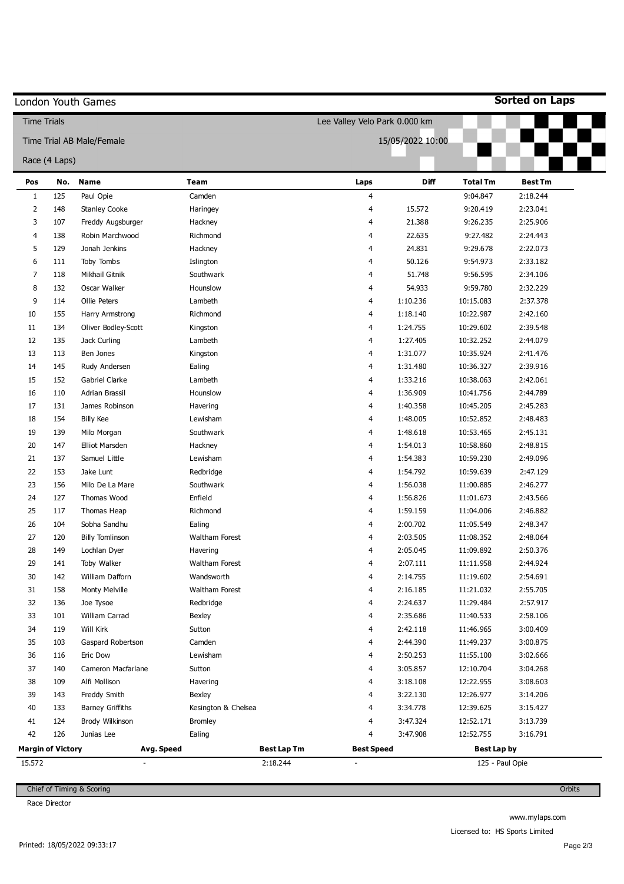|                    |                          | London Youth Games        |                         |                                               |                  |                                       | <b>Sorted on Laps</b> |
|--------------------|--------------------------|---------------------------|-------------------------|-----------------------------------------------|------------------|---------------------------------------|-----------------------|
| <b>Time Trials</b> |                          |                           |                         | Lee Valley Velo Park 0.000 km                 |                  |                                       |                       |
|                    |                          | Time Trial AB Male/Female |                         |                                               | 15/05/2022 10:00 |                                       |                       |
|                    |                          |                           |                         |                                               |                  |                                       |                       |
|                    | Race (4 Laps)            |                           |                         |                                               |                  |                                       |                       |
| Pos                | No.                      | <b>Name</b>               | <b>Team</b>             | Laps                                          | Diff             | <b>Total Tm</b>                       | <b>Best Tm</b>        |
| $\mathbf{1}$       | 125                      | Paul Opie                 | Camden                  | 4                                             |                  | 9:04.847                              | 2:18.244              |
| 2                  | 148                      | <b>Stanley Cooke</b>      | Haringey                | 4                                             | 15.572           | 9:20.419                              | 2:23.041              |
| 3                  | 107                      | Freddy Augsburger         | Hackney                 | 4                                             | 21.388           | 9:26.235                              | 2:25.906              |
| 4                  | 138                      | Robin Marchwood           | Richmond                | 4                                             | 22.635           | 9:27.482                              | 2:24.443              |
| 5                  | 129                      | Jonah Jenkins             | Hackney                 | 4                                             | 24.831           | 9:29.678                              | 2:22.073              |
| 6                  | 111                      | Toby Tombs                | Islington               | 4                                             | 50.126           | 9:54.973                              | 2:33.182              |
| 7                  | 118                      | Mikhail Gitnik            | Southwark               | 4                                             | 51.748           | 9:56.595                              | 2:34.106              |
| 8                  | 132                      | Oscar Walker              | Hounslow                | 4                                             | 54.933           | 9:59.780                              | 2:32.229              |
| 9                  | 114                      | Ollie Peters              | Lambeth                 | 4                                             | 1:10.236         | 10:15.083                             | 2:37.378              |
| 10                 | 155                      | Harry Armstrong           | Richmond                | 4                                             | 1:18.140         | 10:22.987                             | 2:42.160              |
| 11                 | 134                      | Oliver Bodley-Scott       | Kingston                | 4                                             | 1:24.755         | 10:29.602                             | 2:39.548              |
| 12                 | 135                      | Jack Curling              | Lambeth                 | 4                                             | 1:27.405         | 10:32.252                             | 2:44.079              |
| 13                 | 113                      | Ben Jones                 | Kingston                | 4                                             | 1:31.077         | 10:35.924                             | 2:41.476              |
| 14                 | 145                      | Rudy Andersen             | Ealing                  | 4                                             | 1:31.480         | 10:36.327                             | 2:39.916              |
| 15                 | 152                      | Gabriel Clarke            | Lambeth                 | 4                                             | 1:33.216         | 10:38.063                             | 2:42.061              |
| 16                 | 110                      | Adrian Brassil            | Hounslow                | 4                                             | 1:36.909         | 10:41.756                             | 2:44.789              |
| 17                 | 131                      | James Robinson            | Havering                | 4                                             | 1:40.358         | 10:45.205                             | 2:45.283              |
| 18                 | 154                      | <b>Billy Kee</b>          | Lewisham                | 4                                             | 1:48.005         | 10:52.852                             | 2:48.483              |
| 19                 | 139                      | Milo Morgan               | Southwark               | 4                                             | 1:48.618         | 10:53.465                             | 2:45.131              |
| 20                 | 147                      | <b>Elliot Marsden</b>     | Hackney                 | 4                                             | 1:54.013         | 10:58.860                             | 2:48.815              |
| 21                 | 137                      | Samuel Little             | Lewisham                | 4                                             | 1:54.383         | 10:59.230                             | 2:49.096              |
| 22                 | 153                      | Jake Lunt                 | Redbridge               | 4                                             | 1:54.792         | 10:59.639                             | 2:47.129              |
| 23                 | 156                      | Milo De La Mare           | Southwark               | 4                                             | 1:56.038         | 11:00.885                             | 2:46.277              |
| 24                 | 127                      | Thomas Wood               | Enfield                 | 4                                             | 1:56.826         | 11:01.673                             | 2:43.566              |
| 25                 | 117                      | Thomas Heap               | Richmond                | 4                                             | 1:59.159         | 11:04.006                             | 2:46.882              |
| 26                 | 104                      | Sobha Sandhu              | Ealing                  | 4                                             | 2:00.702         | 11:05.549                             | 2:48.347              |
| 27                 | 120                      | <b>Billy Tomlinson</b>    | Waltham Forest          | 4                                             | 2:03.505         | 11:08.352                             | 2:48.064              |
| 28                 | 149                      | Lochlan Dyer              | Havering                | 4                                             | 2:05.045         | 11:09.892                             | 2:50.376              |
| 29                 | 141                      | Toby Walker               | Waltham Forest          | 4                                             | 2:07.111         | 11:11.958                             | 2:44.924              |
| 30                 | 142                      | William Dafforn           | Wandsworth              | 4                                             | 2:14.755         | 11:19.602                             | 2:54.691              |
| 31                 | 158                      | Monty Melville            | Waltham Forest          | 4                                             | 2:16.185         | 11:21.032                             | 2:55.705              |
| 32                 | 136                      | Joe Tysoe                 | Redbridge               | 4                                             | 2:24.637         | 11:29.484                             | 2:57.917              |
| 33                 | 101                      | William Carrad            | Bexley                  | 4                                             | 2:35.686         | 11:40.533                             | 2:58.106              |
| 34                 | 119                      | Will Kirk                 | Sutton                  | 4                                             | 2:42.118         | 11:46.965                             | 3:00.409              |
| 35                 | 103                      | Gaspard Robertson         | Camden                  | 4                                             | 2:44.390         | 11:49.237                             | 3:00.875              |
| 36                 | 116                      | Eric Dow                  | Lewisham                | 4                                             | 2:50.253         | 11:55.100                             | 3:02.666              |
| 37                 | 140                      | Cameron Macfarlane        | Sutton                  | 4                                             | 3:05.857         | 12:10.704                             | 3:04.268              |
| 38                 | 109                      | Alfi Mollison             | Havering                | 4                                             | 3:18.108         | 12:22.955                             | 3:08.603              |
| 39                 | 143                      | Freddy Smith              | Bexley                  | 4                                             | 3:22.130         | 12:26.977                             | 3:14.206              |
| 40                 | 133                      | <b>Barney Griffiths</b>   | Kesington & Chelsea     | 4                                             | 3:34.778         | 12:39.625                             | 3:15.427              |
| 41                 | 124                      | Brody Wilkinson           | <b>Bromley</b>          | 4                                             | 3:47.324         | 12:52.171                             | 3:13.739              |
| 42                 | 126                      | Junias Lee                | Ealing                  | 4                                             | 3:47.908         | 12:52.755                             | 3:16.791              |
|                    |                          |                           |                         |                                               |                  |                                       |                       |
| 15.572             | <b>Margin of Victory</b> | Avg. Speed                | Best Lap Tm<br>2:18.244 | <b>Best Speed</b><br>$\overline{\phantom{a}}$ |                  | <b>Best Lap by</b><br>125 - Paul Opie |                       |

Race Director

**Orbits** 

www.mylaps.com Licensed to: HS Sports Limited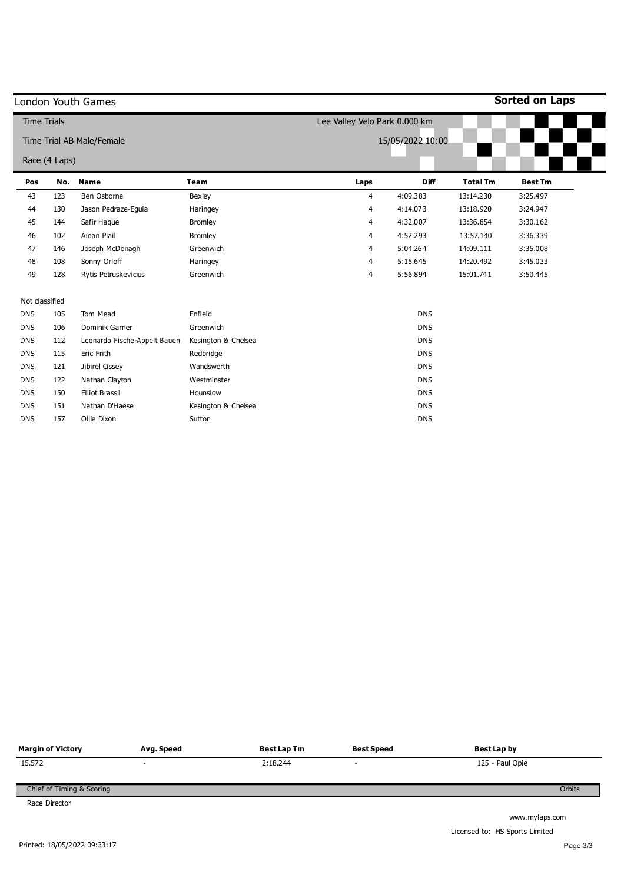|                    |               | London Youth Games           |                     |                               |                  |                 | <b>Sorted on Laps</b> |
|--------------------|---------------|------------------------------|---------------------|-------------------------------|------------------|-----------------|-----------------------|
| <b>Time Trials</b> |               |                              |                     | Lee Valley Velo Park 0.000 km |                  |                 |                       |
|                    |               | Time Trial AB Male/Female    |                     |                               | 15/05/2022 10:00 |                 |                       |
|                    | Race (4 Laps) |                              |                     |                               |                  |                 |                       |
| Pos                | No.           | <b>Name</b>                  | <b>Team</b>         | Laps                          | <b>Diff</b>      | <b>Total Tm</b> | <b>Best Tm</b>        |
| 43                 | 123           | Ben Osborne                  | Bexley              | 4                             | 4:09.383         | 13:14.230       | 3:25.497              |
| 44                 | 130           | Jason Pedraze-Eguia          | Haringey            | 4                             | 4:14.073         | 13:18.920       | 3:24.947              |
| 45                 | 144           | Safir Haque                  | <b>Bromley</b>      | 4                             | 4:32.007         | 13:36.854       | 3:30.162              |
| 46                 | 102           | Aidan Plail                  | <b>Bromley</b>      | 4                             | 4:52.293         | 13:57.140       | 3:36.339              |
| 47                 | 146           | Joseph McDonagh              | Greenwich           | 4                             | 5:04.264         | 14:09.111       | 3:35.008              |
| 48                 | 108           | Sonny Orloff                 | Haringey            | 4                             | 5:15.645         | 14:20.492       | 3:45.033              |
| 49                 | 128           | Rytis Petruskevicius         | Greenwich           | 4                             | 5:56.894         | 15:01.741       | 3:50.445              |
| Not classified     |               |                              |                     |                               |                  |                 |                       |
| <b>DNS</b>         | 105           | Tom Mead                     | Enfield             |                               | <b>DNS</b>       |                 |                       |
| <b>DNS</b>         | 106           | Dominik Garner               | Greenwich           |                               | <b>DNS</b>       |                 |                       |
| <b>DNS</b>         | 112           | Leonardo Fische-Appelt Bauen | Kesington & Chelsea |                               | <b>DNS</b>       |                 |                       |
| <b>DNS</b>         | 115           | Eric Frith                   | Redbridge           |                               | <b>DNS</b>       |                 |                       |
| <b>DNS</b>         | 121           | Jibirel Cissey               | Wandsworth          |                               | <b>DNS</b>       |                 |                       |
| <b>DNS</b>         | 122           | Nathan Clayton               | Westminster         |                               | <b>DNS</b>       |                 |                       |
| <b>DNS</b>         | 150           | <b>Elliot Brassil</b>        | Hounslow            |                               | <b>DNS</b>       |                 |                       |
| <b>DNS</b>         | 151           | Nathan D'Haese               | Kesington & Chelsea |                               | <b>DNS</b>       |                 |                       |
| <b>DNS</b>         | 157           | Ollie Dixon                  | Sutton              |                               | <b>DNS</b>       |                 |                       |

| <b>Margin of Victory</b>  | Avg. Speed | Best Lap Tm | <b>Best Speed</b> | <b>Best Lap by</b> |
|---------------------------|------------|-------------|-------------------|--------------------|
| 15.572                    | -          | 2:18.244    | $\sim$            | 125 - Paul Opie    |
| Chief of Timing & Scoring |            |             |                   | Orbits             |
| Race Director             |            |             |                   |                    |

www.mylaps.com Licensed to: HS Sports Limited

L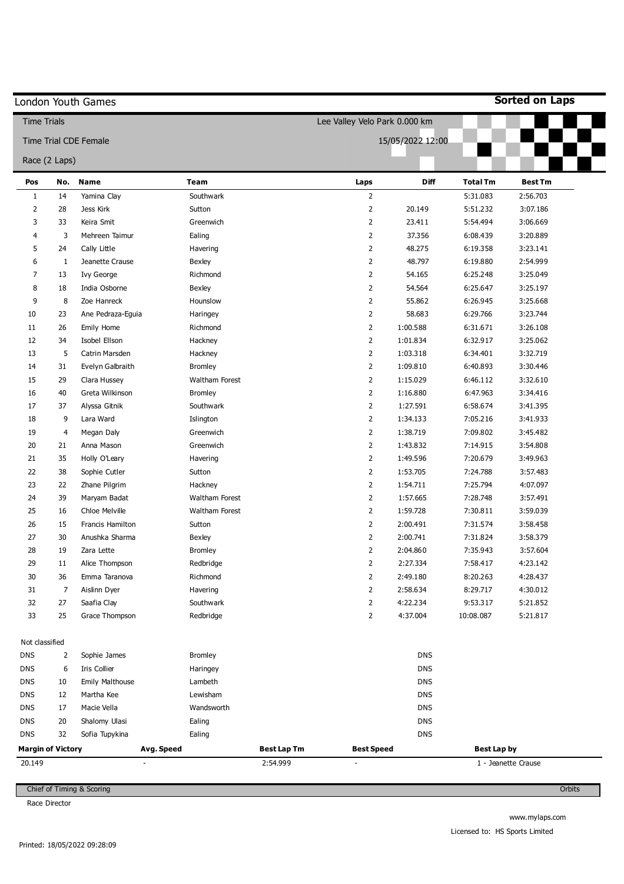|                                    |                | London Youth Games           |                |                                |                                               |                  |                    | <b>Sorted on Laps</b> |
|------------------------------------|----------------|------------------------------|----------------|--------------------------------|-----------------------------------------------|------------------|--------------------|-----------------------|
| <b>Time Trials</b>                 |                |                              |                |                                | Lee Valley Velo Park 0.000 km                 |                  |                    |                       |
|                                    |                | <b>Time Trial CDE Female</b> |                |                                |                                               | 15/05/2022 12:00 |                    |                       |
| Race (2 Laps)                      |                |                              |                |                                |                                               |                  |                    |                       |
|                                    |                |                              |                |                                |                                               |                  |                    |                       |
| Pos                                | No.            | <b>Name</b><br>Yamina Clay   | <b>Team</b>    |                                | Laps                                          | <b>Diff</b>      | <b>Total Tm</b>    | <b>Best Tm</b>        |
| 1                                  | 14             | Jess Kirk                    | Southwark      |                                | $\overline{2}$                                |                  | 5:31.083           | 2:56.703              |
| 2                                  | 28             |                              | Sutton         |                                | $\overline{2}$                                | 20.149           | 5:51.232           | 3:07.186              |
| 3                                  | 33             | Keira Smit                   | Greenwich      |                                | $\overline{2}$                                | 23.411           | 5:54.494           | 3:06.669              |
| 4                                  | 3              | Mehreen Taimur               | Ealing         |                                | $\overline{2}$                                | 37.356           | 6:08.439           | 3:20.889              |
| 5                                  | 24             | Cally Little                 | Havering       |                                | $\overline{2}$                                | 48.275           | 6:19.358           | 3:23.141              |
| 6                                  | 1              | Jeanette Crause              | Bexley         |                                | $\overline{2}$                                | 48.797           | 6:19.880           | 2:54.999              |
| 7                                  | 13             | Ivy George                   | Richmond       |                                | $\overline{2}$                                | 54.165           | 6:25.248           | 3:25.049              |
| 8                                  | 18             | India Osborne                | <b>Bexley</b>  |                                | $\overline{2}$                                | 54.564           | 6:25.647           | 3:25.197              |
| 9                                  | 8              | Zoe Hanreck                  | Hounslow       |                                | $\overline{2}$                                | 55.862           | 6:26.945           | 3:25.668              |
| 10                                 | 23             | Ane Pedraza-Eguia            | Haringey       |                                | $\overline{2}$                                | 58.683           | 6:29.766           | 3:23.744              |
| 11                                 | 26             | Emily Home                   | Richmond       |                                | $\overline{2}$                                | 1:00.588         | 6:31.671           | 3:26.108              |
| 12                                 | 34             | Isobel Ellson                | Hackney        |                                | $\overline{2}$                                | 1:01.834         | 6:32.917           | 3:25.062              |
| 13                                 | 5              | Catrin Marsden               | Hackney        |                                | $\overline{2}$                                | 1:03.318         | 6:34.401           | 3:32.719              |
| 14                                 | 31             | Evelyn Galbraith             | <b>Bromley</b> |                                | $\overline{2}$                                | 1:09.810         | 6:40.893           | 3:30.446              |
| 15                                 | 29             | Clara Hussey                 | Waltham Forest |                                | $\overline{2}$                                | 1:15.029         | 6:46.112           | 3:32.610              |
| 16                                 | 40             | Greta Wilkinson              | <b>Bromley</b> |                                | $\overline{2}$                                | 1:16.880         | 6:47.963           | 3:34.416              |
| 17                                 | 37             | Alyssa Gitnik                | Southwark      |                                | $\overline{2}$                                | 1:27.591         | 6:58.674           | 3:41.395              |
| 18                                 | 9              | Lara Ward                    | Islington      |                                | $\overline{2}$                                | 1:34.133         | 7:05.216           | 3:41.933              |
| 19                                 | $\overline{4}$ | Megan Daly                   | Greenwich      |                                | $\overline{2}$                                | 1:38.719         | 7:09.802           | 3:45.482              |
| 20                                 | 21             | Anna Mason                   | Greenwich      |                                | $\overline{2}$                                | 1:43.832         | 7:14.915           | 3:54.808              |
| 21                                 | 35             | Holly O'Leary                | Havering       |                                | $\overline{2}$                                | 1:49.596         | 7:20.679           | 3:49.963              |
| 22                                 | 38             | Sophie Cutler                | Sutton         |                                | $\overline{2}$                                | 1:53.705         | 7:24.788           | 3:57.483              |
| 23                                 | 22             | Zhane Pilgrim                | Hackney        |                                | $\overline{2}$                                | 1:54.711         | 7:25.794           | 4:07.097              |
| 24                                 | 39             | Maryam Badat                 | Waltham Forest |                                | $\overline{2}$                                | 1:57.665         | 7:28.748           | 3:57.491              |
| 25                                 | 16             | Chloe Melville               | Waltham Forest |                                | $\overline{2}$                                | 1:59.728         | 7:30.811           | 3:59.039              |
| 26                                 | 15             | Francis Hamilton             | Sutton         |                                | 2                                             | 2:00.491         | 7:31.574           | 3:58.458              |
| 27                                 | 30             | Anushka Sharma               | Bexley         |                                | 2                                             | 2:00.741         | 7:31.824           | 3:58.379              |
| 28                                 | 19             | Zara Lette                   | <b>Bromley</b> |                                | $\overline{2}$                                | 2:04.860         | 7:35.943           | 3:57.604              |
| 29                                 | 11             | Alice Thompson               | Redbridge      |                                | $\overline{2}$                                | 2:27.334         | 7:58.417           | 4:23.142              |
| $30\,$                             | 36             | Emma Taranova                | Richmond       |                                | $\overline{2}$                                | 2:49.180         | 8:20.263           | 4:28.437              |
| 31                                 | 7              | Aislinn Dyer                 | Havering       |                                | $\overline{2}$                                | 2:58.634         | 8:29.717           | 4:30.012              |
| 32                                 | 27             | Saafia Clay                  | Southwark      |                                | $\overline{2}$                                | 4:22.234         | 9:53.317           | 5:21.852              |
| 33                                 | 25             | Grace Thompson               | Redbridge      |                                | $\overline{2}$                                | 4:37.004         | 10:08.087          | 5:21.817              |
| Not classified                     |                |                              |                |                                |                                               |                  |                    |                       |
| <b>DNS</b>                         | 2              | Sophie James                 | <b>Bromley</b> |                                |                                               | <b>DNS</b>       |                    |                       |
| <b>DNS</b>                         | 6              | Iris Collier                 | Haringey       |                                |                                               | <b>DNS</b>       |                    |                       |
| <b>DNS</b>                         | 10             | Emily Malthouse              | Lambeth        |                                |                                               | <b>DNS</b>       |                    |                       |
| <b>DNS</b>                         | 12             | Martha Kee                   | Lewisham       |                                |                                               | <b>DNS</b>       |                    |                       |
| <b>DNS</b>                         | 17             | Macie Vella                  | Wandsworth     |                                |                                               | <b>DNS</b>       |                    |                       |
| <b>DNS</b>                         | 20             | Shalomy Ulasi                | Ealing         |                                |                                               | <b>DNS</b>       |                    |                       |
| <b>DNS</b>                         | 32             | Sofia Tupykina               | Ealing         |                                |                                               | <b>DNS</b>       |                    |                       |
|                                    |                |                              |                |                                |                                               |                  |                    |                       |
| <b>Margin of Victory</b><br>20.149 |                | Avg. Speed                   |                | <b>Best Lap Tm</b><br>2:54.999 | <b>Best Speed</b><br>$\overline{\phantom{a}}$ |                  | <b>Best Lap by</b> | 1 - Jeanette Crause   |

Race Director

www.mylaps.com Licensed to: HS Sports Limited

**Orbits**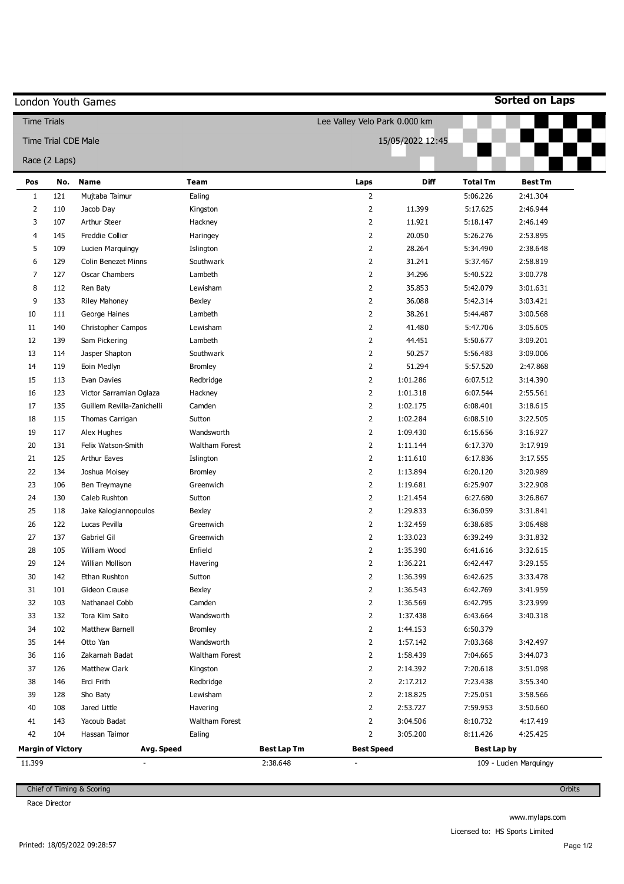|                          |                            | London Youth Games         |                |             |                               |                  |                    | <b>Sorted on Laps</b>  |
|--------------------------|----------------------------|----------------------------|----------------|-------------|-------------------------------|------------------|--------------------|------------------------|
| <b>Time Trials</b>       |                            |                            |                |             | Lee Valley Velo Park 0.000 km |                  |                    |                        |
|                          | <b>Time Trial CDE Male</b> |                            |                |             |                               | 15/05/2022 12:45 |                    |                        |
|                          | Race (2 Laps)              |                            |                |             |                               |                  |                    |                        |
| Pos                      | No.                        | <b>Name</b>                | <b>Team</b>    |             | Laps                          | <b>Diff</b>      | <b>Total Tm</b>    | <b>Best Tm</b>         |
| 1                        | 121                        | Mujtaba Taimur             | Ealing         |             | $\overline{2}$                |                  | 5:06.226           | 2:41.304               |
| $\overline{2}$           | 110                        | Jacob Day                  | Kingston       |             | $\overline{2}$                | 11.399           | 5:17.625           | 2:46.944               |
| 3                        | 107                        | <b>Arthur Steer</b>        | Hackney        |             | $\overline{2}$                | 11.921           | 5:18.147           | 2:46.149               |
| 4                        | 145                        | Freddie Collier            | Haringey       |             | $\overline{2}$                | 20.050           | 5:26.276           | 2:53.895               |
| 5                        | 109                        | Lucien Marquingy           | Islington      |             | $\overline{2}$                | 28.264           | 5:34.490           | 2:38.648               |
| 6                        | 129                        | <b>Colin Benezet Minns</b> | Southwark      |             | $\overline{2}$                | 31.241           | 5:37.467           | 2:58.819               |
| 7                        | 127                        | Oscar Chambers             | Lambeth        |             | $\overline{2}$                | 34.296           | 5:40.522           | 3:00.778               |
| 8                        | 112                        | Ren Baty                   | Lewisham       |             | $\overline{2}$                | 35.853           | 5:42.079           | 3:01.631               |
| 9                        | 133                        | <b>Riley Mahoney</b>       | Bexley         |             | $\overline{2}$                | 36.088           | 5:42.314           | 3:03.421               |
| 10                       | 111                        | George Haines              | Lambeth        |             | $\overline{2}$                | 38.261           | 5:44.487           | 3:00.568               |
| 11                       | 140                        | Christopher Campos         | Lewisham       |             | $\overline{2}$                | 41.480           | 5:47.706           | 3:05.605               |
| 12                       | 139                        | Sam Pickering              | Lambeth        |             | $\overline{2}$                | 44.451           | 5:50.677           | 3:09.201               |
| 13                       | 114                        | Jasper Shapton             | Southwark      |             | $\overline{2}$                | 50.257           | 5:56.483           | 3:09.006               |
| 14                       | 119                        | Eoin Medlyn                | <b>Bromley</b> |             | $\overline{2}$                | 51.294           | 5:57.520           | 2:47.868               |
| 15                       | 113                        | Evan Davies                | Redbridge      |             | $\overline{2}$                | 1:01.286         | 6:07.512           | 3:14.390               |
| 16                       | 123                        | Victor Sarramian Oglaza    | Hackney        |             | $\overline{2}$                | 1:01.318         | 6:07.544           | 2:55.561               |
| 17                       | 135                        | Guillem Revilla-Zanichelli | Camden         |             | $\overline{2}$                | 1:02.175         | 6:08.401           | 3:18.615               |
| 18                       | 115                        | Thomas Carrigan            | Sutton         |             | $\overline{2}$                | 1:02.284         | 6:08.510           | 3:22.505               |
| 19                       | 117                        | Alex Hughes                | Wandsworth     |             | $\overline{2}$                | 1:09.430         | 6:15.656           | 3:16.927               |
| 20                       | 131                        | Felix Watson-Smith         | Waltham Forest |             | $\overline{2}$                | 1:11.144         | 6:17.370           | 3:17.919               |
| 21                       | 125                        | <b>Arthur Eaves</b>        | Islington      |             | $\overline{2}$                | 1:11.610         | 6:17.836           | 3:17.555               |
| 22                       | 134                        | Joshua Moisey              | <b>Bromley</b> |             | $\overline{2}$                | 1:13.894         | 6:20.120           | 3:20.989               |
| 23                       | 106                        | Ben Treymayne              | Greenwich      |             | $\overline{2}$                | 1:19.681         | 6:25.907           | 3:22.908               |
| 24                       | 130                        | Caleb Rushton              | Sutton         |             | $\overline{2}$                | 1:21.454         | 6:27.680           | 3:26.867               |
| 25                       | 118                        | Jake Kalogiannopoulos      | Bexley         |             | $\overline{2}$                | 1:29.833         | 6:36.059           | 3:31.841               |
| 26                       | 122                        | Lucas Pevilla              | Greenwich      |             | 2                             | 1:32.459         | 6:38.685           | 3:06.488               |
| 27                       | 137                        | Gabriel Gil                | Greenwich      |             | $\overline{2}$                | 1:33.023         | 6:39.249           | 3:31.832               |
| 28                       | 105                        | William Wood               | Enfield        |             | $\overline{2}$                | 1:35.390         | 6:41.616           | 3:32.615               |
| 29                       | 124                        | Willian Mollison           | Havering       |             | $\overline{2}$                | 1:36.221         | 6:42.447           | 3:29.155               |
| $30\,$                   | 142                        | Ethan Rushton              | Sutton         |             | $\overline{2}$                | 1:36.399         | 6:42.625           | 3:33.478               |
| 31                       | 101                        | Gideon Crause              | Bexley         |             | $\overline{2}$                | 1:36.543         | 6:42.769           | 3:41.959               |
| 32                       | 103                        | Nathanael Cobb             | Camden         |             | $\overline{2}$                | 1:36.569         | 6:42.795           | 3:23.999               |
| 33                       | 132                        | Tora Kim Saito             | Wandsworth     |             | $\overline{2}$                | 1:37.438         | 6:43.664           | 3:40.318               |
| 34                       | 102                        | Matthew Barnell            | <b>Bromley</b> |             | $\overline{2}$                | 1:44.153         | 6:50.379           |                        |
| 35                       | 144                        | Otto Yan                   | Wandsworth     |             | $\overline{2}$                | 1:57.142         | 7:03.368           | 3:42.497               |
| 36                       | 116                        | Zakarnah Badat             | Waltham Forest |             | $\overline{2}$                | 1:58.439         | 7:04.665           | 3:44.073               |
| 37                       | 126                        | Matthew Clark              | Kingston       |             | $\overline{2}$                | 2:14.392         | 7:20.618           | 3:51.098               |
| 38                       | 146                        | Erci Frith                 | Redbridge      |             | $\overline{2}$                | 2:17.212         | 7:23.438           | 3:55.340               |
| 39                       | 128                        | Sho Baty                   | Lewisham       |             | $\overline{2}$                | 2:18.825         | 7:25.051           | 3:58.566               |
| 40                       | 108                        | Jared Little               | Havering       |             | $\overline{2}$                | 2:53.727         | 7:59.953           | 3:50.660               |
| 41                       | 143                        | Yacoub Badat               | Waltham Forest |             | $\overline{2}$                | 3:04.506         | 8:10.732           | 4:17.419               |
| 42                       | 104                        | Hassan Taimor              | Ealing         |             | $\overline{2}$                | 3:05.200         | 8:11.426           | 4:25.425               |
| <b>Margin of Victory</b> |                            | Avg. Speed                 |                | Best Lap Tm | <b>Best Speed</b>             |                  | <b>Best Lap by</b> |                        |
| 11.399                   |                            | $\overline{a}$             |                | 2:38.648    | $\overline{\phantom{a}}$      |                  |                    | 109 - Lucien Marquingy |

Race Director

**Orbits** 

www.mylaps.com Licensed to: HS Sports Limited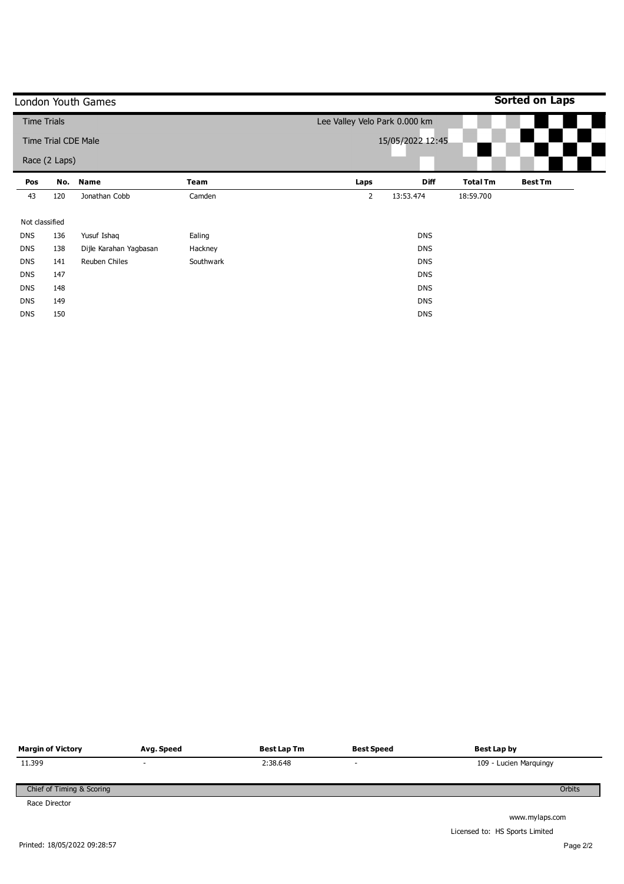|                    |                            | London Youth Games     |           |                               |                  |                 | <b>Sorted on Laps</b> |
|--------------------|----------------------------|------------------------|-----------|-------------------------------|------------------|-----------------|-----------------------|
| <b>Time Trials</b> |                            |                        |           | Lee Valley Velo Park 0.000 km |                  |                 |                       |
|                    | <b>Time Trial CDE Male</b> |                        |           |                               | 15/05/2022 12:45 |                 |                       |
|                    | Race (2 Laps)              |                        |           |                               |                  |                 |                       |
| Pos                | No.                        | <b>Name</b>            | Team      | Laps                          | <b>Diff</b>      | <b>Total Tm</b> | <b>Best Tm</b>        |
| 43                 | 120                        | Jonathan Cobb          | Camden    | $\overline{2}$                | 13:53.474        | 18:59.700       |                       |
| Not classified     |                            |                        |           |                               |                  |                 |                       |
| <b>DNS</b>         | 136                        | Yusuf Ishaq            | Ealing    |                               | <b>DNS</b>       |                 |                       |
| <b>DNS</b>         | 138                        | Dijle Karahan Yagbasan | Hackney   |                               | <b>DNS</b>       |                 |                       |
| <b>DNS</b>         | 141                        | Reuben Chiles          | Southwark |                               | <b>DNS</b>       |                 |                       |
| <b>DNS</b>         | 147                        |                        |           |                               | <b>DNS</b>       |                 |                       |
| <b>DNS</b>         | 148                        |                        |           |                               | <b>DNS</b>       |                 |                       |
| <b>DNS</b>         | 149                        |                        |           |                               | <b>DNS</b>       |                 |                       |
| <b>DNS</b>         | 150                        |                        |           |                               | <b>DNS</b>       |                 |                       |

| <b>Margin of Victory</b>  | Avg. Speed               | <b>Best Lap Tm</b> | <b>Best Speed</b>        | Best Lap by            |
|---------------------------|--------------------------|--------------------|--------------------------|------------------------|
| 11.399                    | $\overline{\phantom{0}}$ | 2:38.648           | $\overline{\phantom{a}}$ | 109 - Lucien Marquingy |
| Chief of Timing & Scoring |                          |                    |                          | Orbits                 |
| Race Director             |                          |                    |                          | www.mylaps.com         |

Printed: 18/05/2022 09:28:57

Licensed to: HS Sports Limited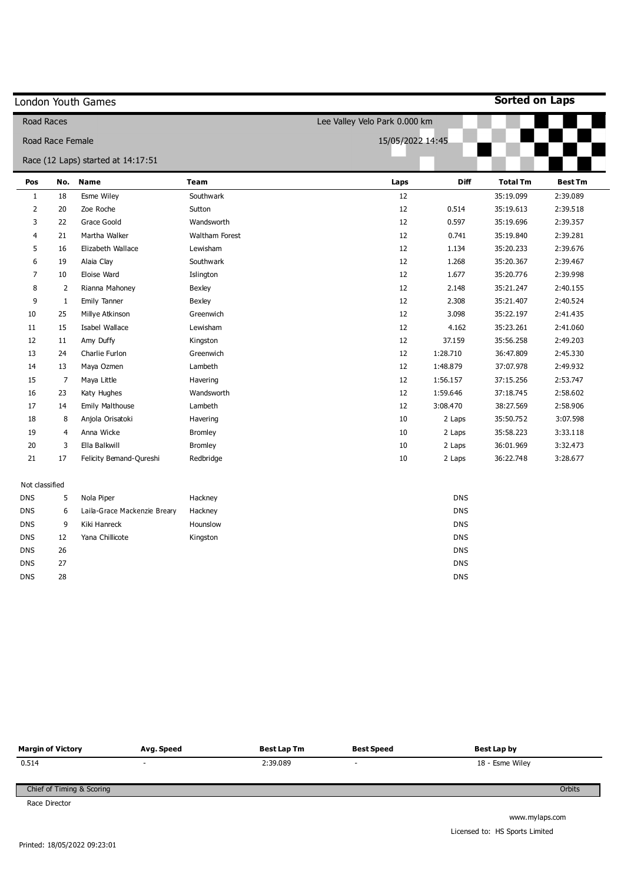|                | London Youth Games |                                    |                |                               |             | <b>Sorted on Laps</b> |                |
|----------------|--------------------|------------------------------------|----------------|-------------------------------|-------------|-----------------------|----------------|
|                | <b>Road Races</b>  |                                    |                | Lee Valley Velo Park 0.000 km |             |                       |                |
|                | Road Race Female   |                                    |                | 15/05/2022 14:45              |             |                       |                |
|                |                    | Race (12 Laps) started at 14:17:51 |                |                               |             |                       |                |
| Pos            | No.                | <b>Name</b>                        | <b>Team</b>    | Laps                          | <b>Diff</b> | <b>Total Tm</b>       | <b>Best Tm</b> |
| $\mathbf{1}$   | 18                 | Esme Wiley                         | Southwark      | 12                            |             | 35:19.099             | 2:39.089       |
| $\overline{2}$ | 20                 | Zoe Roche                          | Sutton         | 12                            | 0.514       | 35:19.613             | 2:39.518       |
| 3              | 22                 | Grace Goold                        | Wandsworth     | 12                            | 0.597       | 35:19.696             | 2:39.357       |
| 4              | 21                 | Martha Walker                      | Waltham Forest | 12                            | 0.741       | 35:19.840             | 2:39.281       |
| 5              | 16                 | Elizabeth Wallace                  | Lewisham       | 12                            | 1.134       | 35:20.233             | 2:39.676       |
| 6              | 19                 | Alaia Clay                         | Southwark      | 12                            | 1.268       | 35:20.367             | 2:39.467       |
| 7              | 10                 | Eloise Ward                        | Islington      | 12                            | 1.677       | 35:20.776             | 2:39.998       |
| 8              | $\overline{2}$     | Rianna Mahoney                     | <b>Bexley</b>  | 12                            | 2.148       | 35:21.247             | 2:40.155       |
| 9              | $\mathbf{1}$       | Emily Tanner                       | <b>Bexley</b>  | 12                            | 2.308       | 35:21.407             | 2:40.524       |
| 10             | 25                 | Millye Atkinson                    | Greenwich      | 12                            | 3.098       | 35:22.197             | 2:41.435       |
| 11             | 15                 | Isabel Wallace                     | Lewisham       | 12                            | 4.162       | 35:23.261             | 2:41.060       |
| 12             | 11                 | Amy Duffy                          | Kingston       | 12                            | 37.159      | 35:56.258             | 2:49.203       |
| 13             | 24                 | Charlie Furlon                     | Greenwich      | 12                            | 1:28.710    | 36:47.809             | 2:45.330       |
| 14             | 13                 | Maya Ozmen                         | Lambeth        | 12                            | 1:48.879    | 37:07.978             | 2:49.932       |
| 15             | $\overline{7}$     | Maya Little                        | Havering       | 12                            | 1:56.157    | 37:15.256             | 2:53.747       |
| 16             | 23                 | Katy Hughes                        | Wandsworth     | 12                            | 1:59.646    | 37:18.745             | 2:58.602       |
| 17             | 14                 | Emily Malthouse                    | Lambeth        | 12                            | 3:08.470    | 38:27.569             | 2:58.906       |
| 18             | 8                  | Anjola Orisatoki                   | Havering       | 10                            | 2 Laps      | 35:50.752             | 3:07.598       |
| 19             | 4                  | Anna Wicke                         | <b>Bromley</b> | 10                            | 2 Laps      | 35:58.223             | 3:33.118       |
| 20             | 3                  | Ella Balkwill                      | <b>Bromley</b> | 10                            | 2 Laps      | 36:01.969             | 3:32.473       |
| 21             | 17                 | Felicity Bemand-Qureshi            | Redbridge      | 10                            | 2 Laps      | 36:22.748             | 3:28.677       |
| Not classified |                    |                                    |                |                               |             |                       |                |
| <b>DNS</b>     | 5                  | Nola Piper                         | Hackney        |                               | <b>DNS</b>  |                       |                |
| <b>DNS</b>     | 6                  | Laila-Grace Mackenzie Breary       | Hackney        |                               | <b>DNS</b>  |                       |                |
| <b>DNS</b>     | 9                  | Kiki Hanreck                       | Hounslow       |                               | <b>DNS</b>  |                       |                |
| <b>DNS</b>     | 12                 | Yana Chillicote                    | Kingston       |                               | <b>DNS</b>  |                       |                |
| <b>DNS</b>     | 26                 |                                    |                |                               | <b>DNS</b>  |                       |                |
| <b>DNS</b>     | 27                 |                                    |                |                               | <b>DNS</b>  |                       |                |
| <b>DNS</b>     | 28                 |                                    |                |                               | <b>DNS</b>  |                       |                |

| <b>Margin of Victory</b>  | Avg. Speed               | <b>Best Lap Tm</b> | <b>Best Speed</b>        | Best Lap by     |
|---------------------------|--------------------------|--------------------|--------------------------|-----------------|
| 0.514                     | $\overline{\phantom{a}}$ | 2:39.089           | $\overline{\phantom{a}}$ | 18 - Esme Wiley |
| Chief of Timing & Scoring |                          |                    |                          | Orbits          |
| Race Director             |                          |                    |                          |                 |
|                           |                          |                    |                          | www.mylaps.com  |

 $\overline{a}$